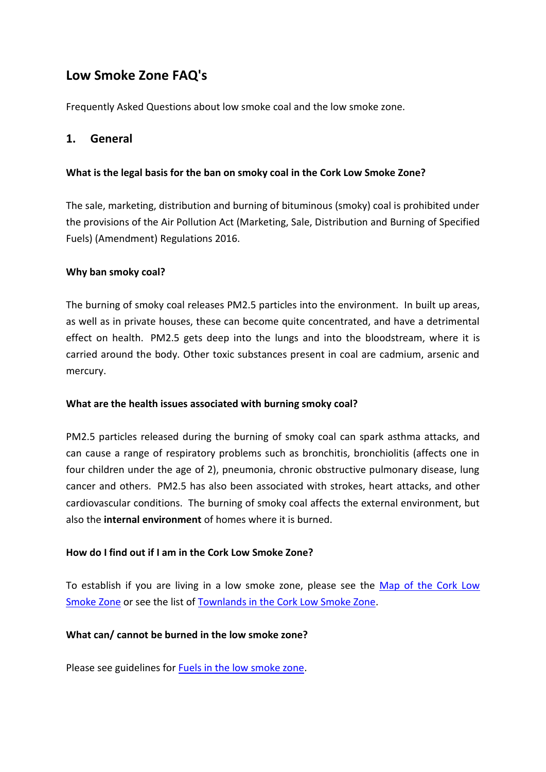# **Low Smoke Zone FAQ's**

Frequently Asked Questions about low smoke coal and the low smoke zone.

### **1. General**

### **What is the legal basis for the ban on smoky coal in the Cork Low Smoke Zone?**

The sale, marketing, distribution and burning of bituminous (smoky) coal is prohibited under the provisions of the Air Pollution Act (Marketing, Sale, Distribution and Burning of Specified Fuels) (Amendment) Regulations 2016.

### **Why ban smoky coal?**

The burning of smoky coal releases PM2.5 particles into the environment. In built up areas, as well as in private houses, these can become quite concentrated, and have a detrimental effect on health. PM2.5 gets deep into the lungs and into the bloodstream, where it is carried around the body. Other toxic substances present in coal are cadmium, arsenic and mercury.

### **What are the health issues associated with burning smoky coal?**

PM2.5 particles released during the burning of smoky coal can spark asthma attacks, and can cause a range of respiratory problems such as bronchitis, bronchiolitis (affects one in four children under the age of 2), pneumonia, chronic obstructive pulmonary disease, lung cancer and others. PM2.5 has also been associated with strokes, heart attacks, and other cardiovascular conditions. The burning of smoky coal affects the external environment, but also the **internal environment** of homes where it is burned.

### **How do I find out if I am in the Cork Low Smoke Zone?**

To establish if you are living in a low smoke zone, please see the Map of the Cork Low [Smoke Zone](Cork%20Low%20Smoke%20Zone%20Map.pdf) or see the list of [Townlands in the Cork Low Smoke Zone.](Cork%20Low%20Smoke%20Zone%20Townlands.pdf)

### **What can/ cannot be burned in the low smoke zone?**

Please see guidelines for [Fuels in the low smoke zone.](Fuels%20in%20the%20low%20smoke%20zone.pdf)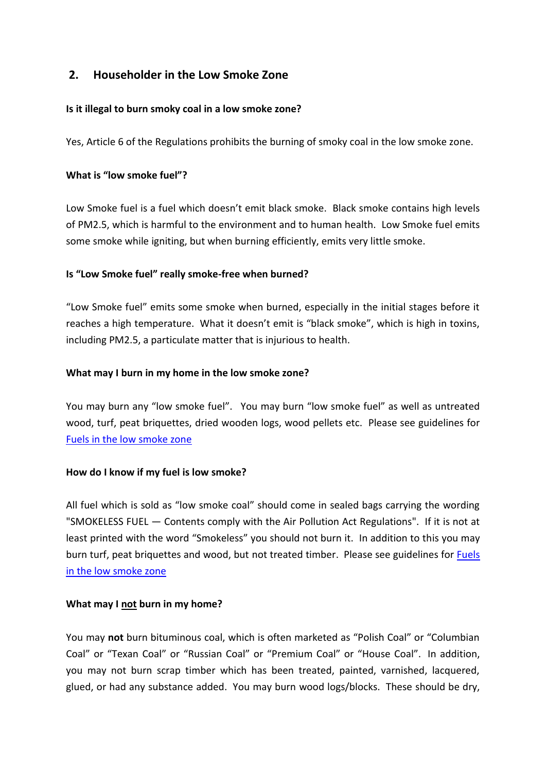# **2. Householder in the Low Smoke Zone**

### **Is it illegal to burn smoky coal in a low smoke zone?**

Yes, Article 6 of the Regulations prohibits the burning of smoky coal in the low smoke zone.

#### **What is "low smoke fuel"?**

Low Smoke fuel is a fuel which doesn't emit black smoke. Black smoke contains high levels of PM2.5, which is harmful to the environment and to human health. Low Smoke fuel emits some smoke while igniting, but when burning efficiently, emits very little smoke.

#### **Is "Low Smoke fuel" really smoke-free when burned?**

"Low Smoke fuel" emits some smoke when burned, especially in the initial stages before it reaches a high temperature. What it doesn't emit is "black smoke", which is high in toxins, including PM2.5, a particulate matter that is injurious to health.

#### **What may I burn in my home in the low smoke zone?**

You may burn any "low smoke fuel". You may burn "low smoke fuel" as well as untreated wood, turf, peat briquettes, dried wooden logs, wood pellets etc. Please see guidelines for [Fuels in the low smoke zone](Fuels%20in%20the%20low%20smoke%20zone.pdf)

#### **How do I know if my fuel is low smoke?**

All fuel which is sold as "low smoke coal" should come in sealed bags carrying the wording "SMOKELESS FUEL — Contents comply with the Air Pollution Act Regulations". If it is not at least printed with the word "Smokeless" you should not burn it. In addition to this you may burn turf, peat briquettes and wood, but not treated timber. Please see guidelines for [Fuels](Fuels%20in%20the%20low%20smoke%20zone.pdf)  [in the low smoke zone](Fuels%20in%20the%20low%20smoke%20zone.pdf)

#### **What may I not burn in my home?**

You may **not** burn bituminous coal, which is often marketed as "Polish Coal" or "Columbian Coal" or "Texan Coal" or "Russian Coal" or "Premium Coal" or "House Coal". In addition, you may not burn scrap timber which has been treated, painted, varnished, lacquered, glued, or had any substance added. You may burn wood logs/blocks. These should be dry,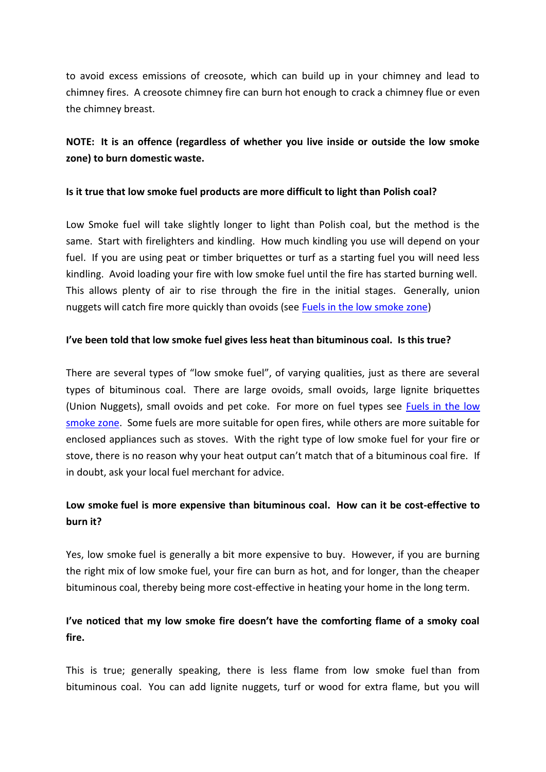to avoid excess emissions of creosote, which can build up in your chimney and lead to chimney fires. A creosote chimney fire can burn hot enough to crack a chimney flue or even the chimney breast.

# **NOTE: It is an offence (regardless of whether you live inside or outside the low smoke zone) to burn domestic waste.**

#### **Is it true that low smoke fuel products are more difficult to light than Polish coal?**

Low Smoke fuel will take slightly longer to light than Polish coal, but the method is the same. Start with firelighters and kindling. How much kindling you use will depend on your fuel. If you are using peat or timber briquettes or turf as a starting fuel you will need less kindling. Avoid loading your fire with low smoke fuel until the fire has started burning well. This allows plenty of air to rise through the fire in the initial stages. Generally, union nuggets will catch fire more quickly than ovoids (see [Fuels in the low smoke zone\)](Fuels%20in%20the%20low%20smoke%20zone.pdf)

#### **I've been told that low smoke fuel gives less heat than bituminous coal. Is this true?**

There are several types of "low smoke fuel", of varying qualities, just as there are several types of bituminous coal. There are large ovoids, small ovoids, large lignite briquettes (Union Nuggets), small ovoids and pet coke. For more on fuel types see [Fuels in the low](Fuels%20in%20the%20low%20smoke%20zone.pdf)  [smoke zone.](Fuels%20in%20the%20low%20smoke%20zone.pdf) Some fuels are more suitable for open fires, while others are more suitable for enclosed appliances such as stoves. With the right type of low smoke fuel for your fire or stove, there is no reason why your heat output can't match that of a bituminous coal fire. If in doubt, ask your local fuel merchant for advice.

# **Low smoke fuel is more expensive than bituminous coal. How can it be cost-effective to burn it?**

Yes, low smoke fuel is generally a bit more expensive to buy. However, if you are burning the right mix of low smoke fuel, your fire can burn as hot, and for longer, than the cheaper bituminous coal, thereby being more cost-effective in heating your home in the long term.

## **I've noticed that my low smoke fire doesn't have the comforting flame of a smoky coal fire.**

This is true; generally speaking, there is less flame from low smoke fuel than from bituminous coal. You can add lignite nuggets, turf or wood for extra flame, but you will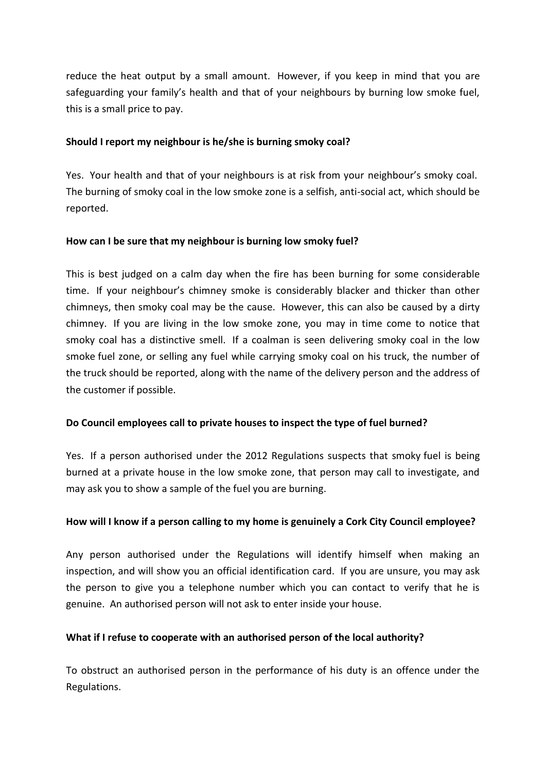reduce the heat output by a small amount. However, if you keep in mind that you are safeguarding your family's health and that of your neighbours by burning low smoke fuel, this is a small price to pay.

### **Should I report my neighbour is he/she is burning smoky coal?**

Yes. Your health and that of your neighbours is at risk from your neighbour's smoky coal. The burning of smoky coal in the low smoke zone is a selfish, anti-social act, which should be reported.

#### **How can I be sure that my neighbour is burning low smoky fuel?**

This is best judged on a calm day when the fire has been burning for some considerable time. If your neighbour's chimney smoke is considerably blacker and thicker than other chimneys, then smoky coal may be the cause. However, this can also be caused by a dirty chimney. If you are living in the low smoke zone, you may in time come to notice that smoky coal has a distinctive smell. If a coalman is seen delivering smoky coal in the low smoke fuel zone, or selling any fuel while carrying smoky coal on his truck, the number of the truck should be reported, along with the name of the delivery person and the address of the customer if possible.

### **Do Council employees call to private houses to inspect the type of fuel burned?**

Yes. If a person authorised under the 2012 Regulations suspects that smoky fuel is being burned at a private house in the low smoke zone, that person may call to investigate, and may ask you to show a sample of the fuel you are burning.

### **How will I know if a person calling to my home is genuinely a Cork City Council employee?**

Any person authorised under the Regulations will identify himself when making an inspection, and will show you an official identification card. If you are unsure, you may ask the person to give you a telephone number which you can contact to verify that he is genuine. An authorised person will not ask to enter inside your house.

### **What if I refuse to cooperate with an authorised person of the local authority?**

To obstruct an authorised person in the performance of his duty is an offence under the Regulations.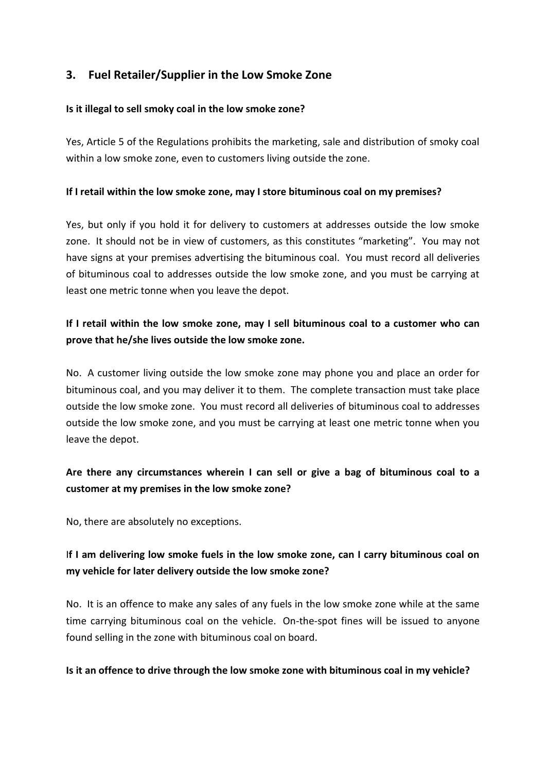# **3. Fuel Retailer/Supplier in the Low Smoke Zone**

#### **Is it illegal to sell smoky coal in the low smoke zone?**

Yes, Article 5 of the Regulations prohibits the marketing, sale and distribution of smoky coal within a low smoke zone, even to customers living outside the zone.

#### **If I retail within the low smoke zone, may I store bituminous coal on my premises?**

Yes, but only if you hold it for delivery to customers at addresses outside the low smoke zone. It should not be in view of customers, as this constitutes "marketing". You may not have signs at your premises advertising the bituminous coal. You must record all deliveries of bituminous coal to addresses outside the low smoke zone, and you must be carrying at least one metric tonne when you leave the depot.

# **If I retail within the low smoke zone, may I sell bituminous coal to a customer who can prove that he/she lives outside the low smoke zone.**

No. A customer living outside the low smoke zone may phone you and place an order for bituminous coal, and you may deliver it to them. The complete transaction must take place outside the low smoke zone. You must record all deliveries of bituminous coal to addresses outside the low smoke zone, and you must be carrying at least one metric tonne when you leave the depot.

# **Are there any circumstances wherein I can sell or give a bag of bituminous coal to a customer at my premises in the low smoke zone?**

No, there are absolutely no exceptions.

# I**f I am delivering low smoke fuels in the low smoke zone, can I carry bituminous coal on my vehicle for later delivery outside the low smoke zone?**

No. It is an offence to make any sales of any fuels in the low smoke zone while at the same time carrying bituminous coal on the vehicle. On-the-spot fines will be issued to anyone found selling in the zone with bituminous coal on board.

#### **Is it an offence to drive through the low smoke zone with bituminous coal in my vehicle?**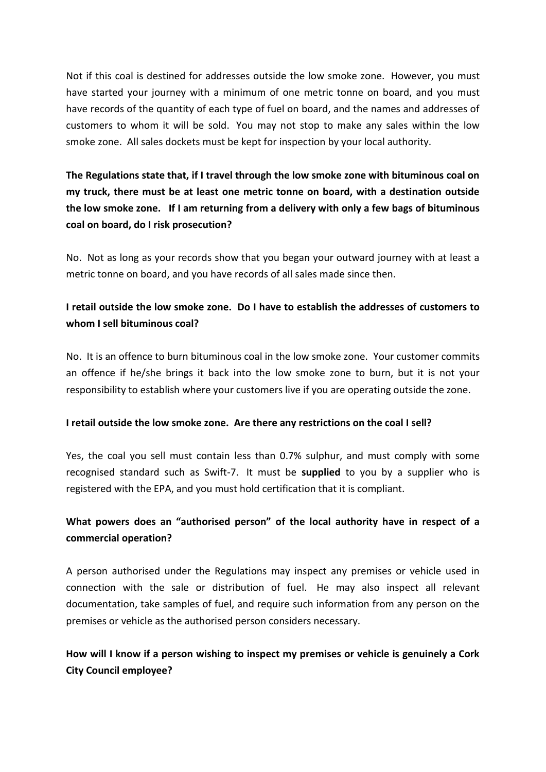Not if this coal is destined for addresses outside the low smoke zone. However, you must have started your journey with a minimum of one metric tonne on board, and you must have records of the quantity of each type of fuel on board, and the names and addresses of customers to whom it will be sold. You may not stop to make any sales within the low smoke zone. All sales dockets must be kept for inspection by your local authority.

**The Regulations state that, if I travel through the low smoke zone with bituminous coal on my truck, there must be at least one metric tonne on board, with a destination outside the low smoke zone. If I am returning from a delivery with only a few bags of bituminous coal on board, do I risk prosecution?**

No. Not as long as your records show that you began your outward journey with at least a metric tonne on board, and you have records of all sales made since then.

# **I retail outside the low smoke zone. Do I have to establish the addresses of customers to whom I sell bituminous coal?**

No. It is an offence to burn bituminous coal in the low smoke zone. Your customer commits an offence if he/she brings it back into the low smoke zone to burn, but it is not your responsibility to establish where your customers live if you are operating outside the zone.

### **I retail outside the low smoke zone. Are there any restrictions on the coal I sell?**

Yes, the coal you sell must contain less than 0.7% sulphur, and must comply with some recognised standard such as Swift-7. It must be **supplied** to you by a supplier who is registered with the EPA, and you must hold certification that it is compliant.

# **What powers does an "authorised person" of the local authority have in respect of a commercial operation?**

A person authorised under the Regulations may inspect any premises or vehicle used in connection with the sale or distribution of fuel. He may also inspect all relevant documentation, take samples of fuel, and require such information from any person on the premises or vehicle as the authorised person considers necessary.

# **How will I know if a person wishing to inspect my premises or vehicle is genuinely a Cork City Council employee?**